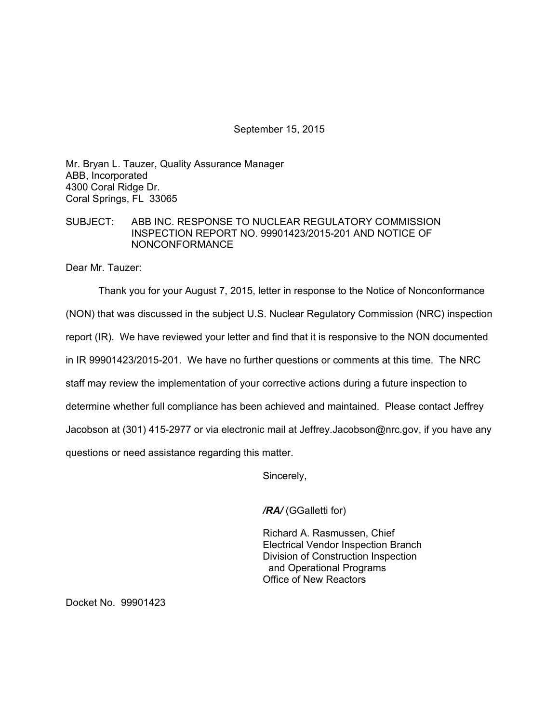September 15, 2015

Mr. Bryan L. Tauzer, Quality Assurance Manager ABB, Incorporated 4300 Coral Ridge Dr. Coral Springs, FL 33065

## SUBJECT: ABB INC. RESPONSE TO NUCLEAR REGULATORY COMMISSION INSPECTION REPORT NO. 99901423/2015-201 AND NOTICE OF NONCONFORMANCE

Dear Mr. Tauzer:

Thank you for your August 7, 2015, letter in response to the Notice of Nonconformance (NON) that was discussed in the subject U.S. Nuclear Regulatory Commission (NRC) inspection report (IR). We have reviewed your letter and find that it is responsive to the NON documented in IR 99901423/2015-201. We have no further questions or comments at this time. The NRC staff may review the implementation of your corrective actions during a future inspection to determine whether full compliance has been achieved and maintained. Please contact Jeffrey Jacobson at (301) 415-2977 or via electronic mail at Jeffrey.Jacobson@nrc.gov, if you have any questions or need assistance regarding this matter.

Sincerely,

*/RA/* (GGalletti for)

Richard A. Rasmussen, Chief Electrical Vendor Inspection Branch Division of Construction Inspection and Operational Programs Office of New Reactors

Docket No. 99901423